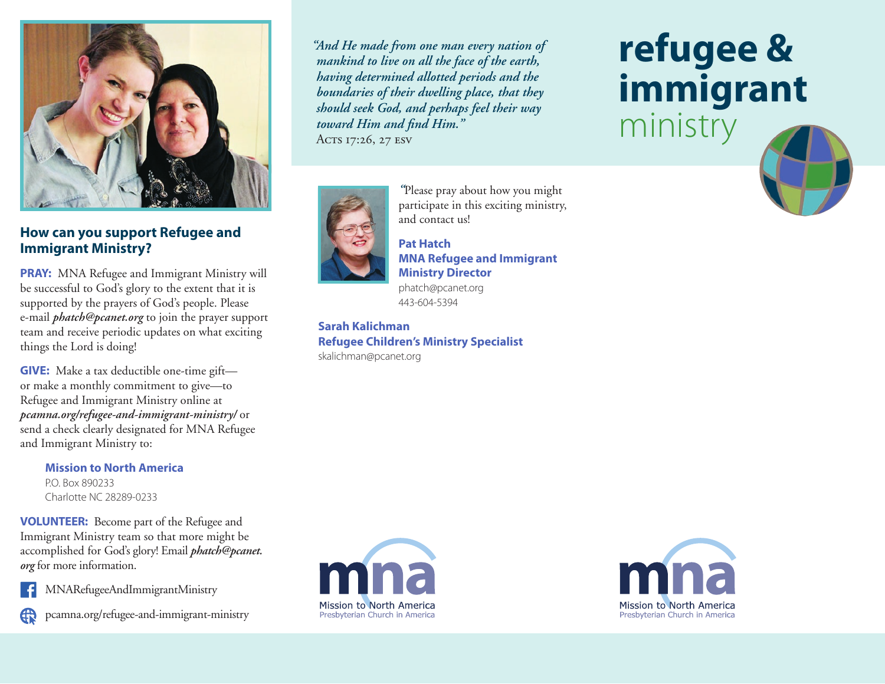

### **How can you support Refugee and Immigrant Ministry?**

**PRAY:** MNA Refugee and Immigrant Ministry will be successful to God's glory to the extent that it is supported by the prayers of God's people. Please e-mail *phatch@pcanet.org* to join the prayer support team and receive periodic updates on what exciting things the Lord is doing!

**GIVE:** Make a tax deductible one-time gift or make a monthly commitment to give—to Refugee and Immigrant Ministry online at *pcamna.org/refugee-and-immigrant-ministry/* or send a check clearly designated for MNA Refugee and Immigrant Ministry to:

**Mission to North America**  P.O. Box 890233 Charlotte NC 28289-0233

**VOLUNTEER:** Become part of the Refugee and Immigrant Ministry team so that more might be accomplished for God's glory! Email *phatch@pcanet. org* for more information.



MNARefugeeAndImmigrantMinistry



pcamna.org/refugee-and-immigrant-ministry

*"And He made from one man every nation of mankind to live on all the face of the earth, having determined allotted periods and the boundaries of their dwelling place, that they should seek God, and perhaps feel their way toward Him and find Him."* Acts 17:26, 27 ESV



*"*Please pray about how you might participate in this exciting ministry, and contact us!

#### **Pat Hatch MNA Refugee and Immigrant Ministry Director**  phatch@pcanet.org

443-604-5394

**Sarah Kalichman Refugee Children's Ministry Specialist**  skalichman@pcanet.org